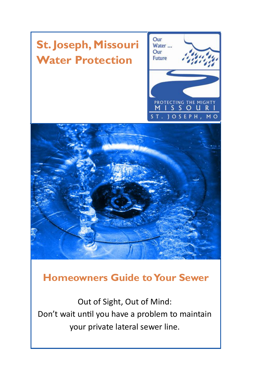# **St. Joseph, Missouri Water Protection**





### **Homeowners Guide to Your Sewer**

Out of Sight, Out of Mind: Don't wait until you have a problem to maintain your private lateral sewer line.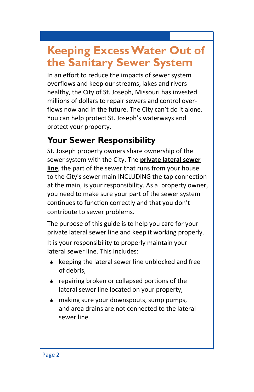# **Keeping Excess Water Out of the Sanitary Sewer System**

In an effort to reduce the impacts of sewer system overflows and keep our streams, lakes and rivers healthy, the City of St. Joseph, Missouri has invested millions of dollars to repair sewers and control overflows now and in the future. The City can't do it alone. You can help protect St. Joseph's waterways and protect your property.

### **Your Sewer Responsibility**

St. Joseph property owners share ownership of the sewer system with the City. The **private lateral sewer line**, the part of the sewer that runs from your house to the City's sewer main INCLUDING the tap connection at the main, is your responsibility. As a property owner, you need to make sure your part of the sewer system continues to function correctly and that you don't contribute to sewer problems.

The purpose of this guide is to help you care for your private lateral sewer line and keep it working properly.

It is your responsibility to properly maintain your lateral sewer line. This includes:

- $\bullet$  keeping the lateral sewer line unblocked and free of debris,
- ◆ repairing broken or collapsed portions of the lateral sewer line located on your property,
- $\bullet$  making sure your downspouts, sump pumps, and area drains are not connected to the lateral sewer line.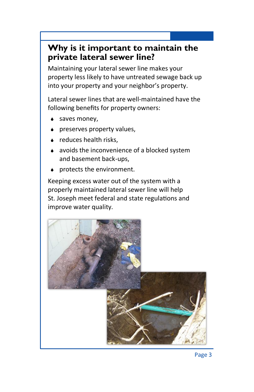#### **Why is it important to maintain the private lateral sewer line?**

Maintaining your lateral sewer line makes your property less likely to have untreated sewage back up into your property and your neighbor's property.

Lateral sewer lines that are well-maintained have the following benefits for property owners:

- saves money,
- preserves property values,
- reduces health risks,
- avoids the inconvenience of a blocked system and basement back-ups,
- protects the environment.

Keeping excess water out of the system with a properly maintained lateral sewer line will help St. Joseph meet federal and state regulations and improve water quality.

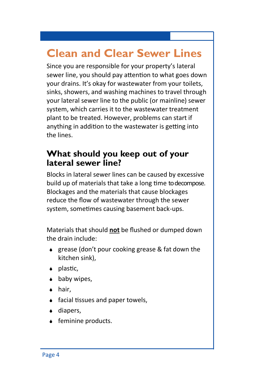# **Clean and Clear Sewer Lines**

Since you are responsible for your property's lateral sewer line, you should pay attention to what goes down your drains. It's okay for wastewater from your toilets, sinks, showers, and washing machines to travel through your lateral sewer line to the public (or mainline) sewer system, which carries it to the wastewater treatment plant to be treated. However, problems can start if anything in addition to the wastewater is getting into the lines.

#### **What should you keep out of your lateral sewer line?**

Blocks in lateral sewer lines can be caused by excessive build up of materials that take a long time to decompose. Blockages and the materials that cause blockages reduce the flow of wastewater through the sewer system, sometimes causing basement back-ups.

Materials that should **not** be flushed or dumped down the drain include:

- $\bullet$  grease (don't pour cooking grease & fat down the kitchen sink),
- ◆ plastic,
- $\bullet$  baby wipes,
- **↓** hair.
- facial tissues and paper towels,
- **↓** diapers,
- ◆ feminine products.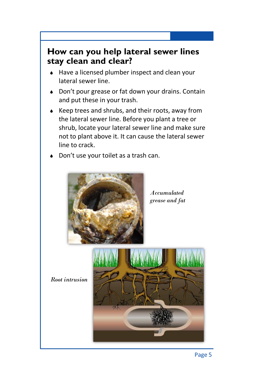#### **How can you help lateral sewer lines stay clean and clear?**

- ◆ Have a licensed plumber inspect and clean your lateral sewer line.
- ◆ Don't pour grease or fat down your drains. Contain and put these in your trash.
- ◆ Keep trees and shrubs, and their roots, away from the lateral sewer line. Before you plant a tree or shrub, locate your lateral sewer line and make sure not to plant above it. It can cause the lateral sewer line to crack.
- Don't use your toilet as a trash can.



*Accumulated grease and fat* 

*Root intrusion* 

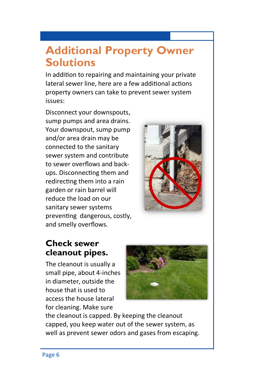### **Additional Property Owner Solutions**

In addition to repairing and maintaining your private lateral sewer line, here are a few additional actions property owners can take to prevent sewer system issues:

Disconnect your downspouts, sump pumps and area drains. Your downspout, sump pump and/or area drain may be connected to the sanitary sewer system and contribute to sewer overflows and backups. Disconnecting them and redirecting them into a rain garden or rain barrel will reduce the load on our sanitary sewer systems preventing dangerous, costly, and smelly overflows.



#### **Check sewer cleanout pipes.**

The cleanout is usually a small pipe, about 4-inches in diameter, outside the house that is used to access the house lateral for cleaning. Make sure



the cleanout is capped. By keeping the cleanout capped, you keep water out of the sewer system, as well as prevent sewer odors and gases from escaping.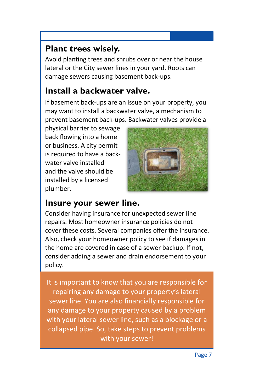#### **Plant trees wisely.**

Avoid planting trees and shrubs over or near the house lateral or the City sewer lines in your yard. Roots can damage sewers causing basement back-ups.

#### **Install a backwater valve.**

If basement back-ups are an issue on your property, you may want to install a backwater valve, a mechanism to prevent basement back-ups. Backwater valves provide a

physical barrier to sewage back flowing into a home or business. A city permit is required to have a backwater valve installed and the valve should be installed by a licensed plumber.



#### **Insure your sewer line.**

Consider having insurance for unexpected sewer line repairs. Most homeowner insurance policies do not cover these costs. Several companies offer the insurance. Also, check your homeowner policy to see if damages in the home are covered in case of a sewer backup. If not, consider adding a sewer and drain endorsement to your policy.

It is important to know that you are responsible for repairing any damage to your property's lateral sewer line. You are also financially responsible for any damage to your property caused by a problem with your lateral sewer line, such as a blockage or a collapsed pipe. So, take steps to prevent problems with your sewer!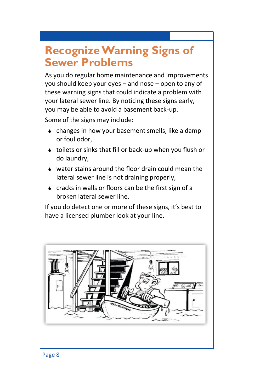# **Recognize Warning Signs of Sewer Problems**

As you do regular home maintenance and improvements you should keep your eyes – and nose – open to any of these warning signs that could indicate a problem with your lateral sewer line. By noticing these signs early, you may be able to avoid a basement back-up.

Some of the signs may include:

- changes in how your basement smells, like a damp or foul odor,
- toilets or sinks that fill or back-up when you flush or do laundry,
- water stains around the floor drain could mean the lateral sewer line is not draining properly,
- cracks in walls or floors can be the first sign of a broken lateral sewer line.

If you do detect one or more of these signs, it's best to have a licensed plumber look at your line.

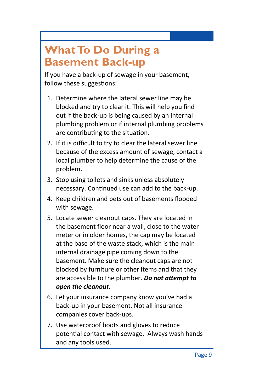# **What To Do During a Basement Back-up**

If you have a back-up of sewage in your basement, follow these suggestions:

- 1. Determine where the lateral sewer line may be blocked and try to clear it. This will help you find out if the back-up is being caused by an internal plumbing problem or if internal plumbing problems are contributing to the situation.
- 2. If it is difficult to try to clear the lateral sewer line because of the excess amount of sewage, contact a local plumber to help determine the cause of the problem.
- 3. Stop using toilets and sinks unless absolutely necessary. Continued use can add to the back-up.
- 4. Keep children and pets out of basements flooded with sewage.
- 5. Locate sewer cleanout caps. They are located in the basement floor near a wall, close to the water meter or in older homes, the cap may be located at the base of the waste stack, which is the main internal drainage pipe coming down to the basement. Make sure the cleanout caps are not blocked by furniture or other items and that they are accessible to the plumber. *Do not attempt to open the cleanout.*
- 6. Let your insurance company know you've had a back-up in your basement. Not all insurance companies cover back-ups.
- 7. Use waterproof boots and gloves to reduce potential contact with sewage. Always wash hands and any tools used.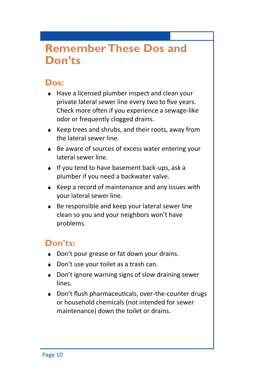### **Remember These Dos and Don'ts**

#### **Dos:**

- ◆ Have a licensed plumber inspect and clean your private lateral sewer line every two to five years. Check more often if you experience a sewage-like odor or frequently clogged drains.
- Keep trees and shrubs, and their roots, away from the lateral sewer line.
- ◆ Be aware of sources of excess water entering your lateral sewer line.
- $\bullet$  If you tend to have basement back-ups, ask a plumber if you need a backwater valve.
- $\bullet$  Keep a record of maintenance and any issues with your lateral sewer line.
- ◆ Be responsible and keep your lateral sewer line clean so you and your neighbors won't have problems.

#### **Don'ts:**

- ◆ Don't pour grease or fat down your drains.
- ◆ Don't use your toilet as a trash can.
- ◆ Don't ignore warning signs of slow draining sewer lines.
- ◆ Don't flush pharmaceuticals, over-the-counter drugs or household chemicals (not intended for sewer maintenance) down the toilet or drains.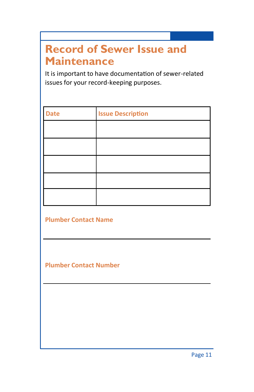# **Record of Sewer Issue and Maintenance**

It is important to have documentation of sewer-related issues for your record-keeping purposes.

| <b>Date</b> | <b>Issue Description</b> |
|-------------|--------------------------|
|             |                          |
|             |                          |
|             |                          |
|             |                          |
|             |                          |

**Plumber Contact Name**

**Plumber Contact Number**